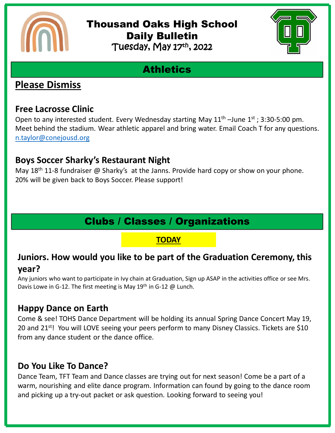

### Thousand Oaks High School Daily Bulletin Tuesday, May 17th, 2022



# **Athletics**

## **Please Dismiss**

#### **Free Lacrosse Clinic**

Open to any interested student. Every Wednesday starting May  $11<sup>th</sup>$  –June  $1<sup>st</sup>$ ; 3:30-5:00 pm. Meet behind the stadium. Wear athletic apparel and bring water. Email Coach T for any questions. [n.taylor@conejousd.org](mailto:n.taylor@conejousd.org)

## **Boys Soccer Sharky's Restaurant Night**

May  $18<sup>th</sup>$  11-8 fundraiser @ Sharky's at the Janns. Provide hard copy or show on your phone. 20% will be given back to Boys Soccer. Please support!

# Clubs / Classes / Organizations

#### **TODAY**

### **Juniors. How would you like to be part of the Graduation Ceremony, this year?**

Any juniors who want to participate in Ivy chain at Graduation, Sign up ASAP in the activities office or see Mrs. Davis Lowe in G-12. The first meeting is May 19<sup>th</sup> in G-12 @ Lunch.

## **Happy Dance on Earth**

Come & see! TOHS Dance Department will be holding its annual Spring Dance Concert May 19, 20 and 21<sup>st</sup>! You will LOVE seeing your peers perform to many Disney Classics. Tickets are \$10 from any dance student or the dance office.

### **Do You Like To Dance?**

Dance Team, TFT Team and Dance classes are trying out for next season! Come be a part of a warm, nourishing and elite dance program. Information can found by going to the dance room and picking up a try-out packet or ask question. Looking forward to seeing you!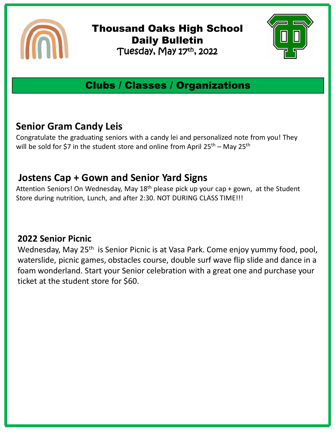

Thousand Oaks High School Daily Bulletin Tuesday, May 17th , 2022



## Clubs / Classes / Organizations

## **Senior Gram Candy Leis**

Congratulate the graduating seniors with a candy lei and personalized note from you! They will be sold for \$7 in the student store and online from April  $25^{th}$  – May  $25^{th}$ 

## **Jostens Cap + Gown and Senior Yard Signs**

Attention Seniors! On Wednesday, May  $18<sup>th</sup>$  please pick up your cap + gown, at the Student Store during nutrition, Lunch, and after 2:30. NOT DURING CLASS TIME!!!

## **2022 Senior Picnic**

Wednesday, May 25<sup>th</sup> is Senior Picnic is at Vasa Park. Come enjoy yummy food, pool, waterslide, picnic games, obstacles course, double surf wave flip slide and dance in a foam wonderland. Start your Senior celebration with a great one and purchase your ticket at the student store for \$60.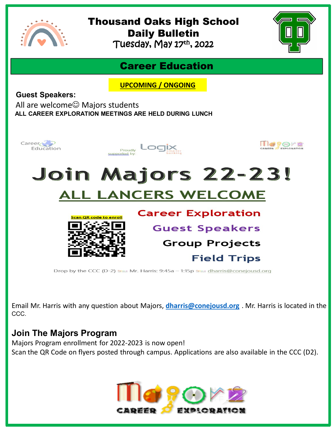

# Thousand Oaks High School Daily Bulletin

Tuesday, May 17th , 2022



## Career Education

**UPCOMING / ONGOING**

**Guest Speakers:**

All are welcome $\odot$  Majors students **ALL CAREER EXPLORATION MEETINGS ARE HELD DURING LUNCH** 



Email Mr. Harris with any question about Majors, **[dharris@conejousd.org](mailto:dharris@conejousd.org)** . Mr. Harris is located in the CCC.

#### **Join The Majors Program**

Majors Program enrollment for 2022-2023 is now open! Scan the QR Code on flyers posted through campus. Applications are also available in the CCC (D2).